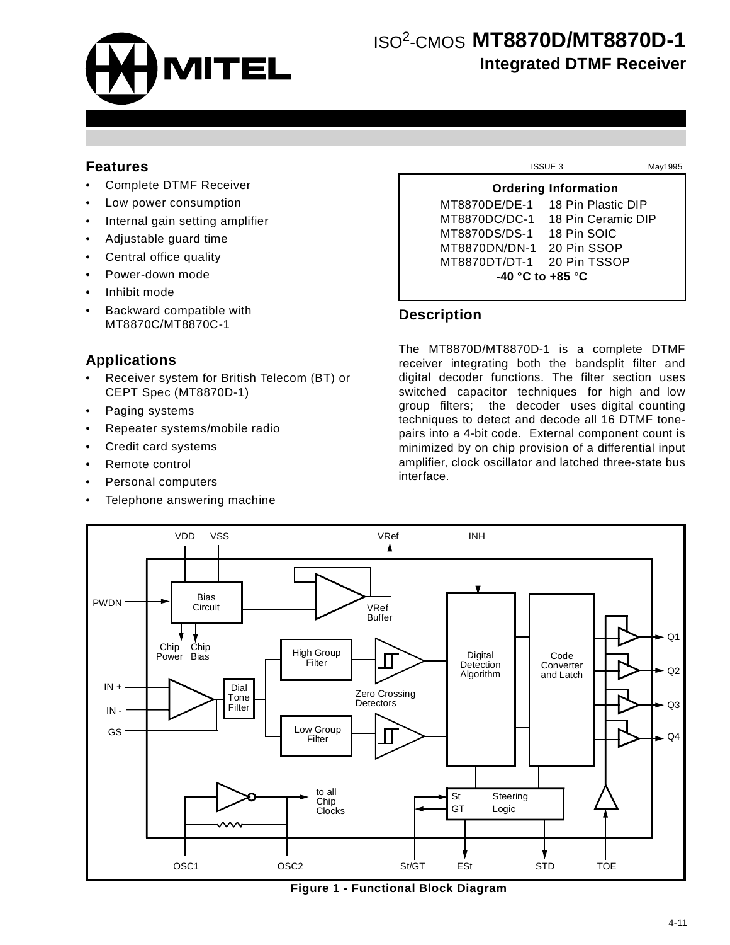

## **Features**

- Complete DTMF Receiver
- Low power consumption
- Internal gain setting amplifier
- Adjustable guard time
- Central office quality
- Power-down mode
- Inhibit mode
- Backward compatible with MT8870C/MT8870C-1

## **Applications**

- Receiver system for British Telecom (BT) or CEPT Spec (MT8870D-1)
- Paging systems
- Repeater systems/mobile radio
- Credit card systems
- Remote control
- Personal computers
- Telephone answering machine

|                                  | <b>ISSUE 3</b>     | May1995 |  |  |  |  |  |  |  |  |
|----------------------------------|--------------------|---------|--|--|--|--|--|--|--|--|
| <b>Ordering Information</b>      |                    |         |  |  |  |  |  |  |  |  |
| MT8870DE/DE-1                    | 18 Pin Plastic DIP |         |  |  |  |  |  |  |  |  |
| MT8870DC/DC-1 18 Pin Ceramic DIP |                    |         |  |  |  |  |  |  |  |  |
| MT8870DS/DS-1                    | 18 Pin SOIC        |         |  |  |  |  |  |  |  |  |
| MT8870DN/DN-1 20 Pin SSOP        |                    |         |  |  |  |  |  |  |  |  |
| MT8870DT/DT-1                    | 20 Pin TSSOP       |         |  |  |  |  |  |  |  |  |
| $-40$ °C to $+85$ °C             |                    |         |  |  |  |  |  |  |  |  |

### **Description**

The MT8870D/MT8870D-1 is a complete DTMF receiver integrating both the bandsplit filter and digital decoder functions. The filter section uses switched capacitor techniques for high and low group filters; the decoder uses digital counting techniques to detect and decode all 16 DTMF tonepairs into a 4-bit code. External component count is minimized by on chip provision of a differential input amplifier, clock oscillator and latched three-state bus interface.



**Figure 1 - Functional Block Diagram**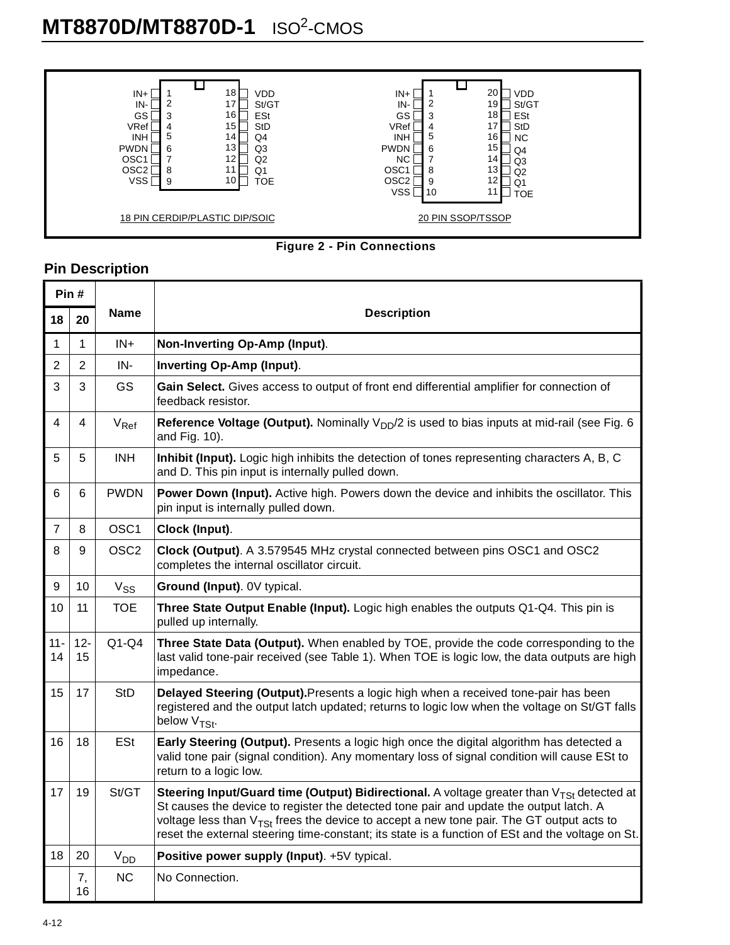



# **Pin Description**

| Pin#           |                |                    |                                                                                                                                                                                                                                                                                                                                                                                              |
|----------------|----------------|--------------------|----------------------------------------------------------------------------------------------------------------------------------------------------------------------------------------------------------------------------------------------------------------------------------------------------------------------------------------------------------------------------------------------|
| 18             | 20             | <b>Name</b>        | <b>Description</b>                                                                                                                                                                                                                                                                                                                                                                           |
| 1              | 1              | $IN+$              | Non-Inverting Op-Amp (Input).                                                                                                                                                                                                                                                                                                                                                                |
| $\overline{2}$ | $\overline{2}$ | IN-                | Inverting Op-Amp (Input).                                                                                                                                                                                                                                                                                                                                                                    |
| 3              | 3              | GS                 | Gain Select. Gives access to output of front end differential amplifier for connection of<br>feedback resistor.                                                                                                                                                                                                                                                                              |
| 4              | 4              | $V_{\mathsf{Ref}}$ | <b>Reference Voltage (Output).</b> Nominally $V_{DD}/2$ is used to bias inputs at mid-rail (see Fig. 6<br>and Fig. 10).                                                                                                                                                                                                                                                                      |
| 5              | 5              | <b>INH</b>         | Inhibit (Input). Logic high inhibits the detection of tones representing characters A, B, C<br>and D. This pin input is internally pulled down.                                                                                                                                                                                                                                              |
| 6              | 6              | <b>PWDN</b>        | Power Down (Input). Active high. Powers down the device and inhibits the oscillator. This<br>pin input is internally pulled down.                                                                                                                                                                                                                                                            |
| 7              | 8              | OSC <sub>1</sub>   | Clock (Input).                                                                                                                                                                                                                                                                                                                                                                               |
| 8              | 9              | OSC <sub>2</sub>   | Clock (Output). A 3.579545 MHz crystal connected between pins OSC1 and OSC2<br>completes the internal oscillator circuit.                                                                                                                                                                                                                                                                    |
| 9              | 10             | $V_{SS}$           | Ground (Input). 0V typical.                                                                                                                                                                                                                                                                                                                                                                  |
| 10             | 11             | <b>TOE</b>         | Three State Output Enable (Input). Logic high enables the outputs Q1-Q4. This pin is<br>pulled up internally.                                                                                                                                                                                                                                                                                |
| $11 -$<br>14   | $12 -$<br>15   | $Q1-Q4$            | Three State Data (Output). When enabled by TOE, provide the code corresponding to the<br>last valid tone-pair received (see Table 1). When TOE is logic low, the data outputs are high<br>impedance.                                                                                                                                                                                         |
| 15             | 17             | <b>StD</b>         | Delayed Steering (Output). Presents a logic high when a received tone-pair has been<br>registered and the output latch updated; returns to logic low when the voltage on St/GT falls<br>below V <sub>TSt</sub> .                                                                                                                                                                             |
| 16             | 18             | <b>ESt</b>         | Early Steering (Output). Presents a logic high once the digital algorithm has detected a<br>valid tone pair (signal condition). Any momentary loss of signal condition will cause ESt to<br>return to a logic low.                                                                                                                                                                           |
| 17             | 19             | St/GT              | Steering Input/Guard time (Output) Bidirectional. A voltage greater than $V_{TSt}$ detected at<br>St causes the device to register the detected tone pair and update the output latch. A<br>voltage less than $V_{TS}$ frees the device to accept a new tone pair. The GT output acts to<br>reset the external steering time-constant; its state is a function of ESt and the voltage on St. |
| 18             | 20             | V <sub>DD</sub>    | Positive power supply (Input). +5V typical.                                                                                                                                                                                                                                                                                                                                                  |
|                | 7,<br>16       | <b>NC</b>          | No Connection.                                                                                                                                                                                                                                                                                                                                                                               |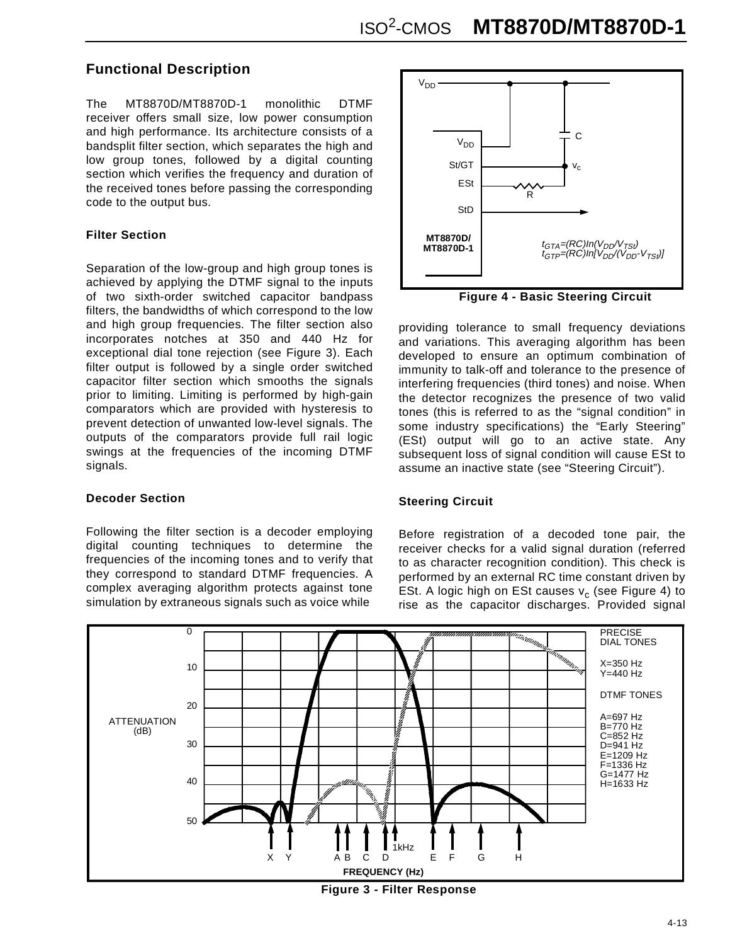# **Functional Description**

The MT8870D/MT8870D-1 monolithic DTMF receiver offers small size, low power consumption and high performance. Its architecture consists of a bandsplit filter section, which separates the high and low group tones, followed by a digital counting section which verifies the frequency and duration of the received tones before passing the corresponding code to the output bus.

### **Filter Section**

Separation of the low-group and high group tones is achieved by applying the DTMF signal to the inputs of two sixth-order switched capacitor bandpass filters, the bandwidths of which correspond to the low and high group frequencies. The filter section also incorporates notches at 350 and 440 Hz for exceptional dial tone rejection (see Figure 3). Each filter output is followed by a single order switched capacitor filter section which smooths the signals prior to limiting. Limiting is performed by high-gain comparators which are provided with hysteresis to prevent detection of unwanted low-level signals. The outputs of the comparators provide full rail logic swings at the frequencies of the incoming DTMF signals.

#### **Decoder Section**

Following the filter section is a decoder employing digital counting techniques to determine the frequencies of the incoming tones and to verify that they correspond to standard DTMF frequencies. A complex averaging algorithm protects against tone simulation by extraneous signals such as voice while



**Figure 4 - Basic Steering Circuit**

providing tolerance to small frequency deviations and variations. This averaging algorithm has been developed to ensure an optimum combination of immunity to talk-off and tolerance to the presence of interfering frequencies (third tones) and noise. When the detector recognizes the presence of two valid tones (this is referred to as the "signal condition" in some industry specifications) the "Early Steering" (ESt) output will go to an active state. Any subsequent loss of signal condition will cause ESt to assume an inactive state (see "Steering Circuit").

### **Steering Circuit**

Before registration of a decoded tone pair, the receiver checks for a valid signal duration (referred to as character recognition condition). This check is performed by an external RC time constant driven by ESt. A logic high on ESt causes  $v_c$  (see Figure 4) to rise as the capacitor discharges. Provided signal



**Figure 3 - Filter Response**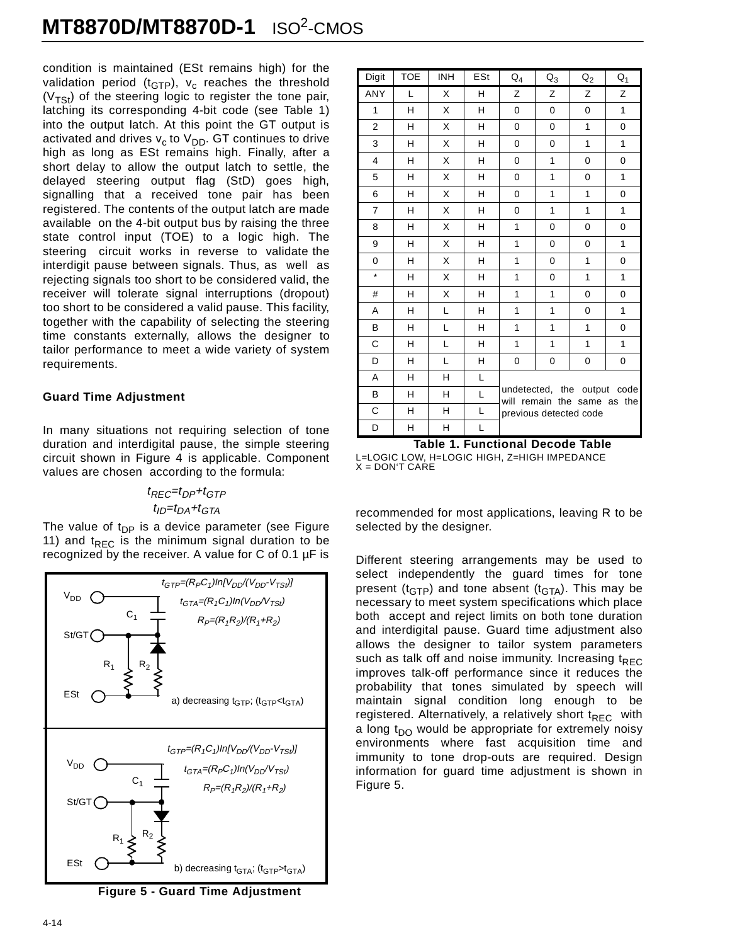condition is maintained (ESt remains high) for the validation period ( $t_{GTP}$ ),  $v_c$  reaches the threshold  $(V_{TSt})$  of the steering logic to register the tone pair, latching its corresponding 4-bit code (see Table 1) into the output latch. At this point the GT output is activated and drives  $v_c$  to  $V_{DD}$ . GT continues to drive high as long as ESt remains high. Finally, after a short delay to allow the output latch to settle, the delayed steering output flag (StD) goes high, signalling that a received tone pair has been registered. The contents of the output latch are made available on the 4-bit output bus by raising the three state control input (TOE) to a logic high. The steering circuit works in reverse to validate the interdigit pause between signals. Thus, as well as rejecting signals too short to be considered valid, the receiver will tolerate signal interruptions (dropout) too short to be considered a valid pause. This facility, together with the capability of selecting the steering time constants externally, allows the designer to tailor performance to meet a wide variety of system requirements.

#### **Guard Time Adjustment**

In many situations not requiring selection of tone duration and interdigital pause, the simple steering circuit shown in Figure 4 is applicable. Component values are chosen according to the formula:

# $t_{REC} = t_{DP} + t_{GTP}$

 $t_{ID} = t_{DA} + t_{GTA}$ 

The value of  $t_{DP}$  is a device parameter (see Figure 11) and  $t_{\text{REC}}$  is the minimum signal duration to be recognized by the receiver. A value for C of 0.1 µF is



**Figure 5 - Guard Time Adjustment**

| Digit          | <b>TOE</b> | <b>INH</b> | ESt | ${\sf Q}_4$                                                | ${\sf Q}_3$            | $Q_2$ | $Q_1$        |  |  |  |  |
|----------------|------------|------------|-----|------------------------------------------------------------|------------------------|-------|--------------|--|--|--|--|
| ANY            | L          | X          | н   | Z                                                          | Z                      | Z     | Z            |  |  |  |  |
| $\mathbf{1}$   | н          | X          | H   | 0                                                          | 0                      | 0     | 1            |  |  |  |  |
| 2              | н          | X          | H   | 0                                                          | 0                      | 1     | 0            |  |  |  |  |
| 3              | Η          | X          | H   | $\mathbf 0$                                                | 0                      | 1     | 1            |  |  |  |  |
| $\overline{4}$ | н          | X          | H   | 0                                                          | 1                      | 0     | 0            |  |  |  |  |
| 5              | н          | X          | н   | 0                                                          | 1                      | 0     | $\mathbf{1}$ |  |  |  |  |
| 6              | н          | X          | H   | 0                                                          | 1                      | 1     | 0            |  |  |  |  |
| $\overline{7}$ | н          | X          | H   | 0                                                          | 1                      | 1     | 1            |  |  |  |  |
| 8              | н          | X          | н   | 1                                                          | 0                      | 0     | $\mathbf 0$  |  |  |  |  |
| 9              | H          | X          | H   | 1                                                          | 0                      | 0     | 1            |  |  |  |  |
| 0              | н          | X          | н   | 1                                                          | 0                      | 1     | 0            |  |  |  |  |
| $\star$        | н          | X          | н   | 1                                                          | 0                      | 1     | 1            |  |  |  |  |
| #              | H          | X          | H   | 1                                                          | $\mathbf{1}$           | 0     | $\mathbf 0$  |  |  |  |  |
| A              | н          | L          | н   | 1                                                          | 1                      | 0     | 1            |  |  |  |  |
| B              | н          | L          | н   | 1                                                          | 1                      | 1     | 0            |  |  |  |  |
| C              | H          | L          | H   | 1                                                          | 1                      | 1     | 1            |  |  |  |  |
| D              | н          | L          | H   | 0                                                          | 0                      | 0     | 0            |  |  |  |  |
| A              | н          | н          | L   |                                                            |                        |       |              |  |  |  |  |
| B              | Η          | H          | L   | undetected, the output code<br>will remain the same as the |                        |       |              |  |  |  |  |
| C              | н          | н          | Г   |                                                            | previous detected code |       |              |  |  |  |  |
| D              | H          | H          | Г   |                                                            |                        |       |              |  |  |  |  |

**Table 1. Functional Decode Table** L=LOGIC LOW, H=LOGIC HIGH, Z=HIGH IMPEDANCE  $X =$  DON'T CARE

recommended for most applications, leaving R to be selected by the designer.

Different steering arrangements may be used to select independently the guard times for tone present ( $t_{GTP}$ ) and tone absent ( $t_{GTA}$ ). This may be necessary to meet system specifications which place both accept and reject limits on both tone duration and interdigital pause. Guard time adjustment also allows the designer to tailor system parameters such as talk off and noise immunity. Increasing  $t_{REC}$ improves talk-off performance since it reduces the probability that tones simulated by speech will maintain signal condition long enough to be registered. Alternatively, a relatively short  $t_{\text{REC}}$  with a long t<sub>DO</sub> would be appropriate for extremely noisy environments where fast acquisition time and immunity to tone drop-outs are required. Design information for guard time adjustment is shown in Figure 5.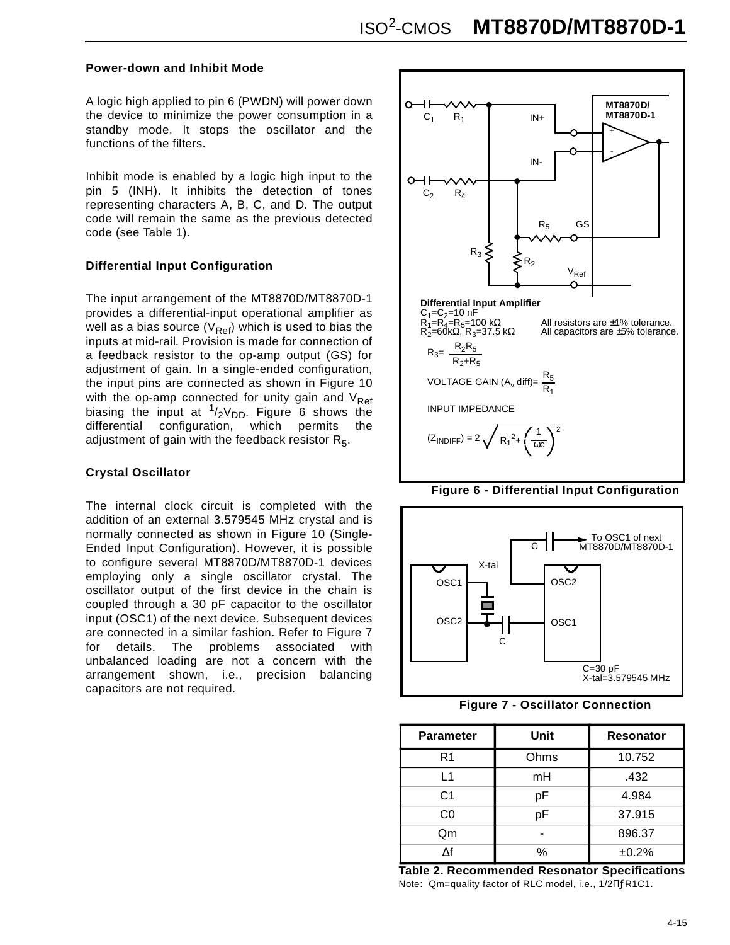#### **Power-down and Inhibit Mode**

A logic high applied to pin 6 (PWDN) will power down the device to minimize the power consumption in a standby mode. It stops the oscillator and the functions of the filters.

Inhibit mode is enabled by a logic high input to the pin 5 (INH). It inhibits the detection of tones representing characters A, B, C, and D. The output code will remain the same as the previous detected code (see Table 1).

### **Differential Input Configuration**

The input arrangement of the MT8870D/MT8870D-1 provides a differential-input operational amplifier as well as a bias source ( $V_{Ref}$ ) which is used to bias the inputs at mid-rail. Provision is made for connection of a feedback resistor to the op-amp output (GS) for adjustment of gain. In a single-ended configuration, the input pins are connected as shown in Figure 10 with the op-amp connected for unity gain and  $V_{Ref}$ biasing the input at  $1/2V_{DD}$ . Figure 6 shows the differential configuration, which permits the configuration, which permits adjustment of gain with the feedback resistor  $R_5$ .

#### **Crystal Oscillator**

The internal clock circuit is completed with the addition of an external 3.579545 MHz crystal and is normally connected as shown in Figure 10 (Single-Ended Input Configuration). However, it is possible to configure several MT8870D/MT8870D-1 devices employing only a single oscillator crystal. The oscillator output of the first device in the chain is coupled through a 30 pF capacitor to the oscillator input (OSC1) of the next device. Subsequent devices are connected in a similar fashion. Refer to Figure 7 for details. The problems associated with unbalanced loading are not a concern with the arrangement shown, i.e., precision balancing capacitors are not required.







**Figure 7 - Oscillator Connection**

| <b>Parameter</b> | Unit | <b>Resonator</b> |  |  |  |  |
|------------------|------|------------------|--|--|--|--|
| R <sub>1</sub>   | Ohms | 10.752           |  |  |  |  |
| l 1              | mH   | .432             |  |  |  |  |
| C <sub>1</sub>   | рF   | 4.984            |  |  |  |  |
| C0               | рF   | 37.915           |  |  |  |  |
| Qm               |      | 896.37           |  |  |  |  |
|                  | %    | ±0.2%            |  |  |  |  |

**Table 2. Recommended Resonator Specifications** Note: Qm=quality factor of RLC model, i.e., 1/2ΠƒR1C1.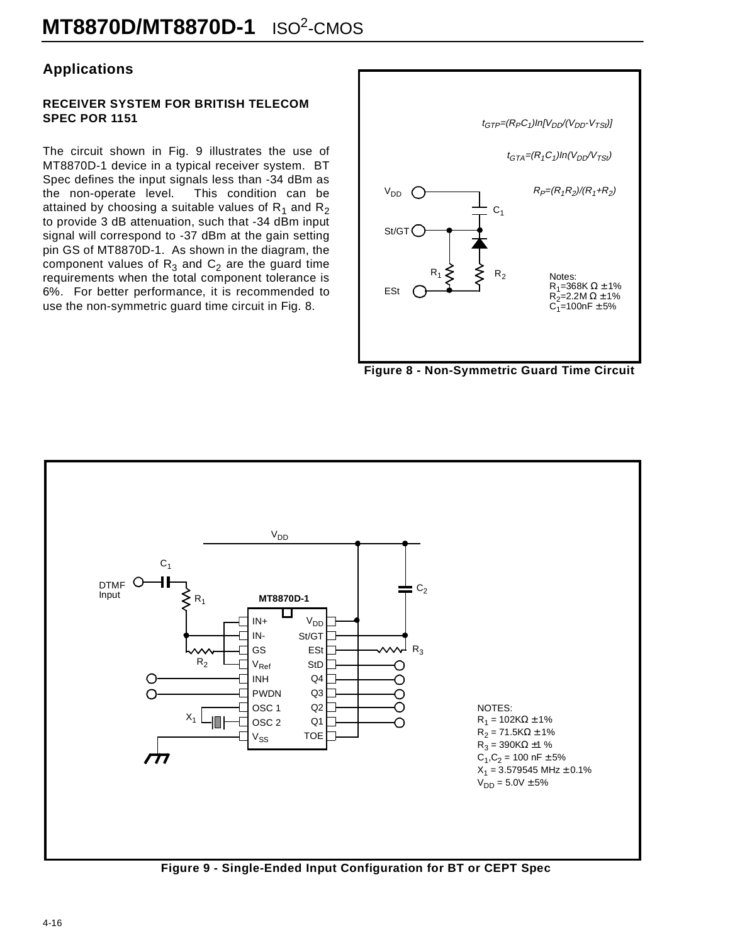# **Applications**

#### **RECEIVER SYSTEM FOR BRITISH TELECOM SPEC POR 1151**

The circuit shown in Fig. 9 illustrates the use of MT8870D-1 device in a typical receiver system. BT Spec defines the input signals less than -34 dBm as the non-operate level. This condition can be attained by choosing a suitable values of  $R_1$  and  $R_2$ to provide 3 dB attenuation, such that -34 dBm input signal will correspond to -37 dBm at the gain setting pin GS of MT8870D-1. As shown in the diagram, the component values of  $R_3$  and  $C_2$  are the guard time requirements when the total component tolerance is 6%. For better performance, it is recommended to use the non-symmetric guard time circuit in Fig. 8.



**Figure 8 - Non-Symmetric Guard Time Circuit**



**Figure 9 - Single-Ended Input Configuration for BT or CEPT Spec**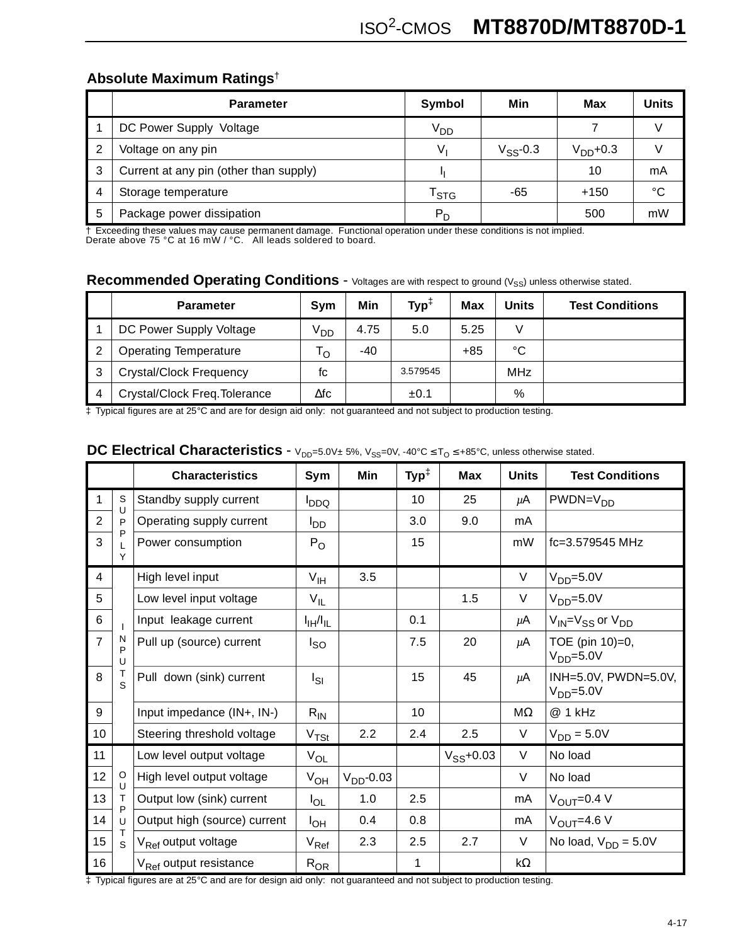# **Absolute Maximum Ratings**†

|    | <b>Parameter</b>                       | Symbol                      | Min           | Max       | Units |
|----|----------------------------------------|-----------------------------|---------------|-----------|-------|
|    | DC Power Supply Voltage                | V <sub>DD</sub>             |               |           |       |
| -2 | Voltage on any pin                     | Vı                          | $V_{SS}$ -0.3 | $VDD+0.3$ |       |
| 3  | Current at any pin (other than supply) |                             |               | 10        | mA    |
| 4  | Storage temperature                    | $\mathsf{T}_{\textsf{STG}}$ | -65           | $+150$    | °C    |
| 5  | Package power dissipation              | $P_D$                       |               | 500       | mW    |

† Exceeding these values may cause permanent damage. Functional operation under these conditions is not implied. Derate above 75 °C at 16 mW / °C. All leads soldered to board.

# Recommended Operating Conditions - Voltages are with respect to ground (V<sub>SS</sub>) unless otherwise stated.

|   | <b>Parameter</b>               | <b>Svm</b>      | Min  | $Typ^{\ddagger}$ | <b>Max</b> | Units      | <b>Test Conditions</b> |
|---|--------------------------------|-----------------|------|------------------|------------|------------|------------------------|
|   | DC Power Supply Voltage        | V <sub>DD</sub> | 4.75 | 5.0              | 5.25       | V          |                        |
|   | <b>Operating Temperature</b>   | 'o              | -40  |                  | $+85$      | °C         |                        |
|   | <b>Crystal/Clock Frequency</b> | fc              |      | 3.579545         |            | <b>MHz</b> |                        |
| 4 | Crystal/Clock Freq. Tolerance  | ∆fc             |      | ±0.1             |            | %          |                        |

‡ Typical figures are at 25°C and are for design aid only: not guaranteed and not subject to production testing.

# **DC Electrical Characteristics** - V<sub>DD</sub>=5.0V± 5%, V<sub>SS</sub>=0V, -40°C ≤ T<sub>O</sub> ≤ +85°C, unless otherwise stated.

|                |              | <b>Characteristics</b>                      | Sym                           | Min         | $\mathsf{Typ}^\ddagger$ | <b>Max</b>     | <b>Units</b> | <b>Test Conditions</b>                      |
|----------------|--------------|---------------------------------------------|-------------------------------|-------------|-------------------------|----------------|--------------|---------------------------------------------|
| 1              | S<br>U       | Standby supply current                      | <b>DDQ</b>                    |             | 10                      | 25             | $\mu$ A      | $PWDN=VDD$                                  |
| $\overline{2}$ | P            | Operating supply current<br>l <sub>DD</sub> |                               |             | 3.0                     | 9.0            | mA           |                                             |
| 3              | P<br>Y       | Power consumption                           | $P_{O}$                       |             | 15                      |                | mW           | fc=3.579545 MHz                             |
| 4              |              | High level input                            | $V_{\text{IH}}$               | 3.5         |                         |                | $\vee$       | $VDD=5.0V$                                  |
| 5              |              | Low level input voltage                     | $V_{IL}$                      |             |                         | 1.5            | V            | $VDD=5.0V$                                  |
| 6              |              | Input leakage current                       | $I_{\text{IH}}/I_{\text{IL}}$ |             | 0.1                     |                | $\mu$ A      | $V_{\text{IN}} = V_{SS}$ or $V_{\text{DD}}$ |
| $\overline{7}$ | N<br>P<br>U  | Pull up (source) current                    | l <sub>SO</sub>               |             | 7.5                     | 20             | μA           | TOE (pin 10)=0,<br>$VDD=5.0V$               |
| 8              | S            | Pull down (sink) current                    | Isı                           |             | 15                      | 45             | $\mu$ A      | INH=5.0V, PWDN=5.0V,<br>$V_{DD} = 5.0V$     |
| 9              |              | Input impedance (IN+, IN-)                  | $R_{IN}$                      |             | 10                      |                | ΜΩ           | @ 1 kHz                                     |
| 10             |              | Steering threshold voltage                  | V <sub>TSt</sub>              | 2.2         | 2.4                     | 2.5            | V            | $V_{DD} = 5.0V$                             |
| 11             |              | Low level output voltage                    | $V_{OL}$                      |             |                         | $V_{SS}$ +0.03 | V            | No load                                     |
| 12             | $\circ$<br>U | High level output voltage                   | $V_{OH}$                      | $VDD$ -0.03 |                         |                | V            | No load                                     |
| 13             | $\mathsf{T}$ | Output low (sink) current                   | $I_{OL}$                      | 1.0         | 2.5                     |                | mA           | $V_{\text{OUT}} = 0.4 V$                    |
| 14             | P<br>U       | Output high (source) current                | I <sub>OH</sub>               | 0.4         | 0.8                     |                | mA           | $V_{\text{OUT}}=4.6 V$                      |
| 15             | Т<br>S       | V <sub>Ref</sub> output voltage             | $V_{\sf Ref}$                 | 2.3         | 2.5                     | 2.7            | $\vee$       | No load, $V_{DD} = 5.0V$                    |
| 16             |              | V <sub>Ref</sub> output resistance          | $R_{OR}$                      |             | 1                       |                | $k\Omega$    |                                             |

‡ Typical figures are at 25°C and are for design aid only: not guaranteed and not subject to production testing.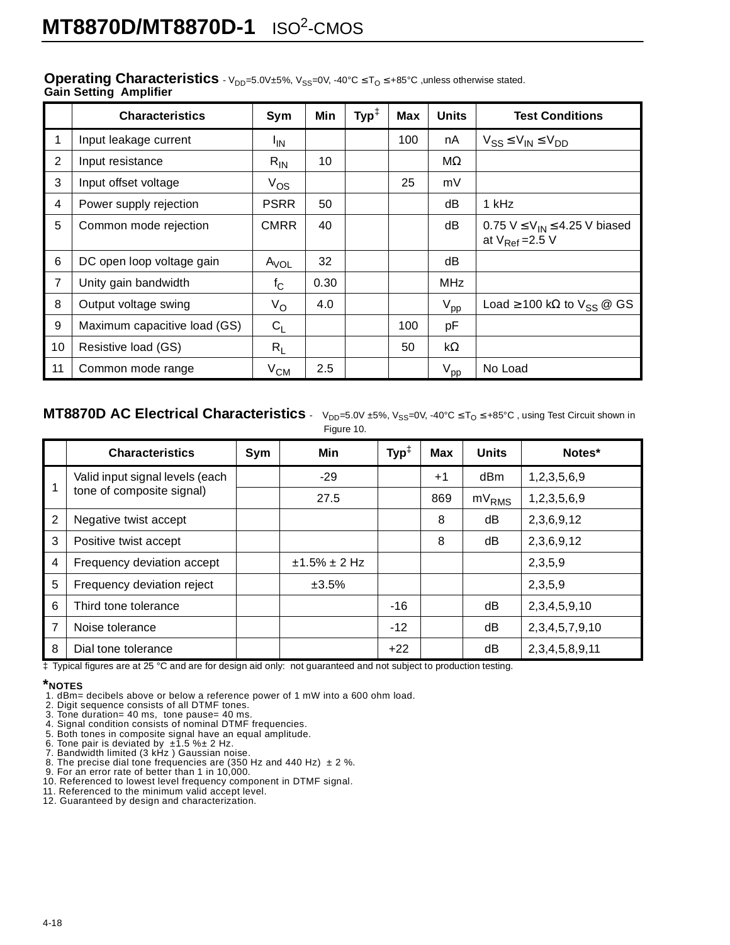|                | <b>Characteristics</b>       | Sym             | Min  | $\mathsf{Typ}^\ddagger$ | <b>Max</b> | <b>Units</b>    | <b>Test Conditions</b>                                                 |
|----------------|------------------------------|-----------------|------|-------------------------|------------|-----------------|------------------------------------------------------------------------|
| 1              | Input leakage current        | <sup>I</sup> IN |      |                         | 100        | nA              | $V_{SS} \leq V_{IN} \leq V_{DD}$                                       |
| $\overline{2}$ | Input resistance             | $R_{IN}$        | 10   |                         |            | $M\Omega$       |                                                                        |
| 3              | Input offset voltage         | $V_{OS}$        |      |                         | 25         | mV              |                                                                        |
| 4              | Power supply rejection       | <b>PSRR</b>     | 50   |                         |            | dB              | 1 kHz                                                                  |
| 5              | Common mode rejection        | <b>CMRR</b>     | 40   |                         |            | dB              | 0.75 $V \leq V_{IN} \leq 4.25$ V biased<br>at $V_{\text{Ref}} = 2.5 V$ |
| 6              | DC open loop voltage gain    | $A_{VOL}$       | 32   |                         |            | dB              |                                                                        |
| $\overline{7}$ | Unity gain bandwidth         | $f_{\rm C}$     | 0.30 |                         |            | <b>MHz</b>      |                                                                        |
| 8              | Output voltage swing         | $V_{\rm O}$     | 4.0  |                         |            | $V_{\text{pp}}$ | Load $\geq$ 100 kΩ to $V_{SS}$ @ GS                                    |
| 9              | Maximum capacitive load (GS) | $C_L$           |      |                         | 100        | pF              |                                                                        |
| 10             | Resistive load (GS)          | $R_L$           |      |                         | 50         | $k\Omega$       |                                                                        |
| 11             | Common mode range            | $\rm V_{CM}$    | 2.5  |                         |            | $V_{\text{pp}}$ | No Load                                                                |

#### **Operating Characteristics**  $-V_{DD}=5.0V\pm5\%$ ,  $V_{SS}=0V$ ,  $-40^{\circ}C \leq T_{O} \leq +85^{\circ}C$  , unless otherwise stated. **Gain Setting Amplifier**

## **MT8870D AC Electrical Characteristics** -  $V_{DD}=5.0V \pm 5\%$ ,  $V_{SS}=0V$ , -40°C  $\leq T_0 \leq +85$ °C, using Test Circuit shown in

Figure 10.

|                | <b>Characteristics</b>          | Sym | Min             | $\mathsf{Typ}^\ddagger$ | <b>Max</b> | <b>Units</b> | Notes*               |
|----------------|---------------------------------|-----|-----------------|-------------------------|------------|--------------|----------------------|
|                | Valid input signal levels (each |     | $-29$           |                         | $+1$       | dBm          | 1,2,3,5,6,9          |
| 1              | tone of composite signal)       |     | 27.5            |                         | 869        | $mV_{RMS}$   | 1,2,3,5,6,9          |
| $\overline{2}$ | Negative twist accept           |     |                 |                         | 8          | dB           | 2,3,6,9,12           |
| 3              | Positive twist accept           |     |                 |                         | 8          | dB           | 2,3,6,9,12           |
| 4              | Frequency deviation accept      |     | $±1.5\% ± 2 Hz$ |                         |            |              | 2,3,5,9              |
| 5              | Frequency deviation reject      |     | ±3.5%           |                         |            |              | 2,3,5,9              |
| 6              | Third tone tolerance            |     |                 | $-16$                   |            | dB           | 2, 3, 4, 5, 9, 10    |
| $\overline{7}$ | Noise tolerance                 |     |                 | $-12$                   |            | dB           | 2, 3, 4, 5, 7, 9, 10 |
| 8              | Dial tone tolerance             |     |                 | $+22$                   |            | dB           | 2, 3, 4, 5, 8, 9, 11 |

‡ Typical figures are at 25 °C and are for design aid only: not guaranteed and not subject to production testing.

### **\*NOTES**

- 1. dBm= decibels above or below a reference power of 1 mW into a 600 ohm load.
- 2. Digit sequence consists of all DTMF tones.
- 
- 3. Tone duration= 40 ms, tone pause= 40 ms. 4. Signal condition consists of nominal DTMF frequencies.
- 5. Both tones in composite signal have an equal amplitude. 6. Tone pair is deviated by ±1.5 %± 2 Hz. 7. Bandwidth limited (3 kHz ) Gaussian noise.
- 
- 
- 8. The precise dial tone frequencies are (350 Hz and 440 Hz)  $\pm 2$  %.<br>9. For an error rate of better than 1 in 10,000.<br>10. Referenced to lowest level frequency component in DTMF signal.
- 
- 
- 11. Referenced to the minimum valid accept level. 12. Guaranteed by design and characterization.
-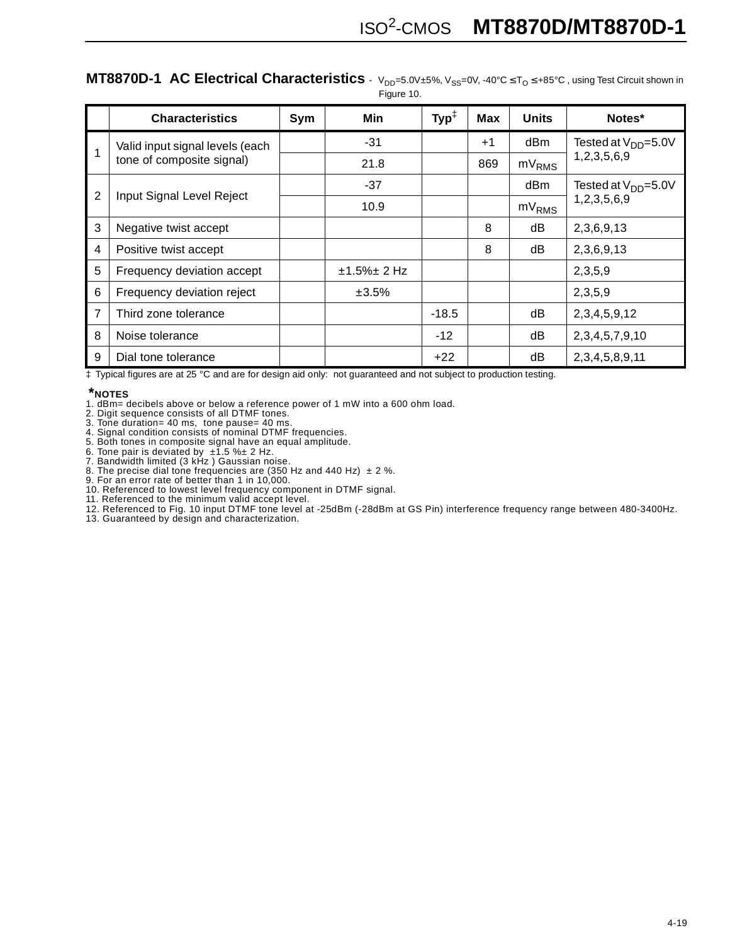|                | <b>Characteristics</b>                                       | Sym | Min           | $\mathsf{Typ}^\ddagger$ | <b>Max</b> | <b>Units</b>      | Notes*                    |
|----------------|--------------------------------------------------------------|-----|---------------|-------------------------|------------|-------------------|---------------------------|
|                | Valid input signal levels (each<br>tone of composite signal) |     | $-31$         |                         | $+1$       | dBm               | Tested at $V_{DD} = 5.0V$ |
|                |                                                              |     | 21.8          |                         | 869        | mV <sub>RMS</sub> | 1,2,3,5,6,9               |
|                |                                                              |     | $-37$         |                         |            | dBm               | Tested at $V_{DD} = 5.0V$ |
| $\overline{2}$ | Input Signal Level Reject                                    |     | 10.9          |                         |            | mV <sub>RMS</sub> | 1,2,3,5,6,9               |
| 3              | Negative twist accept                                        |     |               |                         | 8          | dB                | 2,3,6,9,13                |
| 4              | Positive twist accept                                        |     |               |                         | 8          | dB                | 2,3,6,9,13                |
| 5              | Frequency deviation accept                                   |     | $±1.5\%±2 Hz$ |                         |            |                   | 2,3,5,9                   |
| 6              | Frequency deviation reject                                   |     | ±3.5%         |                         |            |                   | 2,3,5,9                   |
| 7              | Third zone tolerance                                         |     |               | $-18.5$                 |            | dB                | 2, 3, 4, 5, 9, 12         |
| 8              | Noise tolerance                                              |     |               | $-12$                   |            | dB                | 2, 3, 4, 5, 7, 9, 10      |
| 9              | Dial tone tolerance                                          |     |               | $+22$                   |            | dB                | 2, 3, 4, 5, 8, 9, 11      |

# **MT8870D-1 AC Electrical Characteristics** - V<sub>DD</sub>=5.0V±5%, V<sub>SS</sub>=0V, -40°C ≤ T<sub>O</sub> ≤ +85°C, using Test Circuit shown in

Figure 10.

‡ Typical figures are at 25 °C and are for design aid only: not guaranteed and not subject to production testing.

### **\*NOTES**

- 1. dBm= decibels above or below a reference power of 1 mW into a 600 ohm load.
- 2. Digit sequence consists of all DTMF tones.
- 
- 3. Tone duration= 40 ms, tone pause= 40 ms. 4. Signal condition consists of nominal DTMF frequencies. 5. Both tones in composite signal have an equal amplitude.
- 
- 6. Tone pair is deviated by ±1.5 %± 2 Hz. 7. Bandwidth limited (3 kHz ) Gaussian noise.
- 8. The precise dial tone frequencies are (350 Hz and 440 Hz)  $\pm$  2 %.
- 9. For an error rate of better than 1 in 10,000.
- 10. Referenced to lowest level frequency component in DTMF signal.
- 11. Referenced to the minimum valid accept level.
- 12. Referenced to Fig. 10 input DTMF tone level at -25dBm (-28dBm at GS Pin) interference frequency range between 480-3400Hz.
- 13. Guaranteed by design and characterization.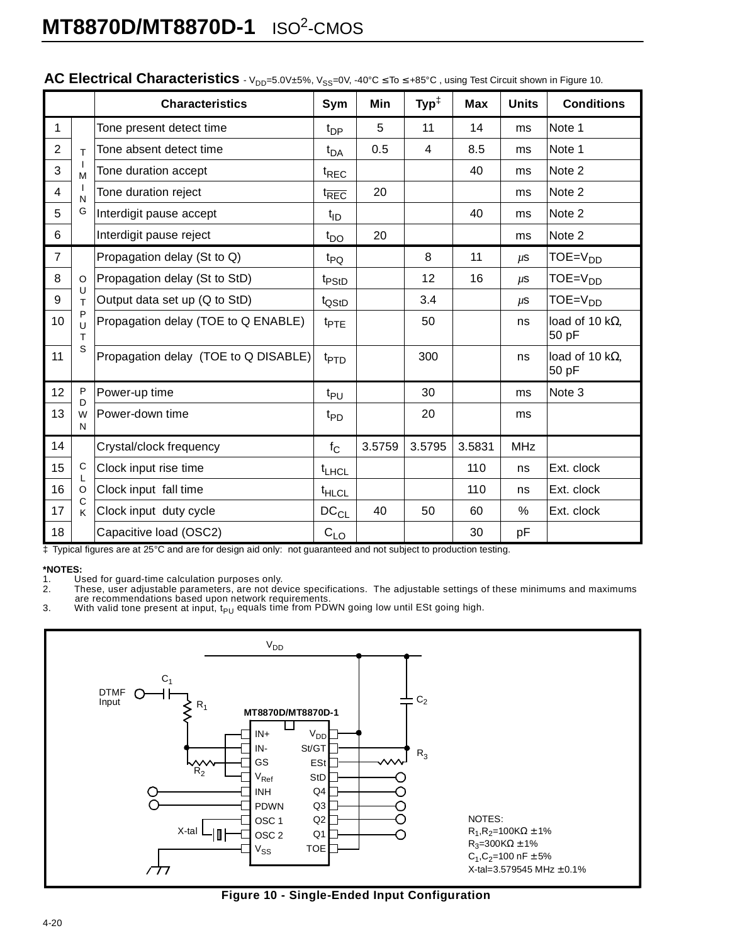|                |             | <b>Characteristics</b>               | Sym                         | Min    | $\text{Typ}^{\ddagger}$ | <b>Max</b> | <b>Units</b> | <b>Conditions</b>                |
|----------------|-------------|--------------------------------------|-----------------------------|--------|-------------------------|------------|--------------|----------------------------------|
| 1              |             | Tone present detect time             | $t_{\text{DP}}$             | 5      | 11                      | 14         | ms           | Note 1                           |
| $\overline{2}$ | T           | Tone absent detect time              | $t_{DA}$                    | 0.5    | 4                       | 8.5        | ms           | Note 1                           |
| 3              | M           | Tone duration accept                 | t <sub>REC</sub>            |        |                         | 40         | ms           | Note 2                           |
| 4              | N           | Tone duration reject                 | t <sub>REC</sub>            | 20     |                         |            | ms           | Note 2                           |
| 5              | G           | Interdigit pause accept              | $t_{ID}$                    |        |                         | 40         | ms           | Note 2                           |
| 6              |             | Interdigit pause reject              | $t_{\text{DO}}$             | 20     |                         |            | ms           | Note 2                           |
| $\overline{7}$ |             | Propagation delay (St to Q)          | t <sub>PQ</sub>             |        | 8                       | 11         | $\mu$ S      | $TOE = VDD$                      |
| 8              | O           | Propagation delay (St to StD)        | t <sub>PStD</sub>           |        | 12                      | 16         | $\mu$ S      | $TOE = VDD$                      |
| 9              | U<br>T      | Output data set up (Q to StD)        | t <sub>QStD</sub>           |        | 3.4                     |            | $\mu$ S      | $TOE = VDD$                      |
| 10             | P<br>U<br>T | Propagation delay (TOE to Q ENABLE)  | $t_{PTE}$                   |        | 50                      |            | ns           | load of 10 k $\Omega$ ,<br>50 pF |
| 11             | S           | Propagation delay (TOE to Q DISABLE) | t <sub>PTD</sub>            |        | 300                     |            | ns           | load of 10 k $\Omega$ ,<br>50 pF |
| 12             | P<br>D      | Power-up time                        | $t_{PU}$                    |        | 30                      |            | ms           | Note 3                           |
| 13             | W<br>N      | Power-down time                      | t <sub>PD</sub>             |        | 20                      |            | ms           |                                  |
| 14             |             | Crystal/clock frequency              | $f_{\rm C}$                 | 3.5759 | 3.5795                  | 3.5831     | <b>MHz</b>   |                                  |
| 15             | $\mathsf C$ | Clock input rise time                | $t_{LHCL}$                  |        |                         | 110        | ns           | Ext. clock                       |
| 16             | $\circ$     | Clock input fall time                | $t_{H L C L}$               |        |                         | 110        | ns           | Ext. clock                       |
| 17             | C<br>K      | Clock input duty cycle               | $\mathtt{DC}_{\mathsf{CL}}$ | 40     | 50                      | 60         | %            | Ext. clock                       |
| 18             |             | Capacitive load (OSC2)               | $C_{LQ}$                    |        |                         | 30         | рF           |                                  |

### **AC Electrical Characteristics** - V<sub>DD</sub>=5.0V±5%, V<sub>SS</sub>=0V, -40°C ≤ To ≤ +85°C, using Test Circuit shown in Figure 10.

‡ Typical figures are at 25°C and are for design aid only: not guaranteed and not subject to production testing.

# **\*NOTES:**

1. Used for guard-time calculation purposes only.<br>2. These, user adjustable parameters, are not dev

2. These, user adjustable parameters, are not device specifications. The adjustable settings of these minimums and maximums<br>are recommendations based upon network requirements.<br>3. With valid tone present at input, t<sub>PU</sub>



**Figure 10 - Single-Ended Input Configuration**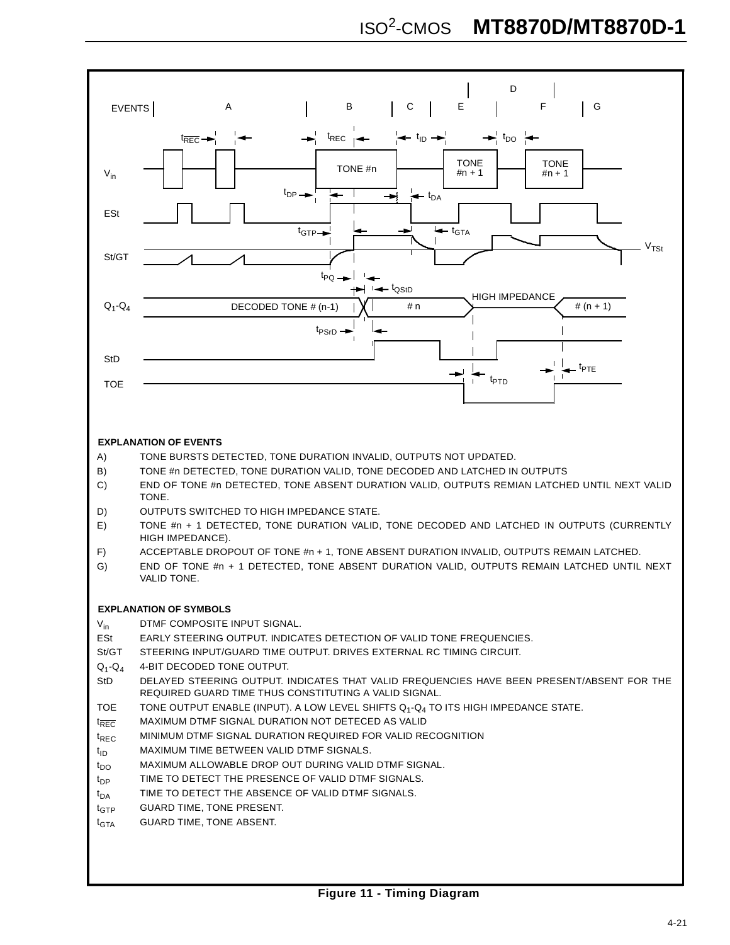

#### **EXPLANATION OF EVENTS**

- A) TONE BURSTS DETECTED, TONE DURATION INVALID, OUTPUTS NOT UPDATED.
- B) TONE #n DETECTED, TONE DURATION VALID, TONE DECODED AND LATCHED IN OUTPUTS
- C) END OF TONE #n DETECTED, TONE ABSENT DURATION VALID, OUTPUTS REMIAN LATCHED UNTIL NEXT VALID **TONE**
- D) OUTPUTS SWITCHED TO HIGH IMPEDANCE STATE.
- E) TONE #n + 1 DETECTED, TONE DURATION VALID, TONE DECODED AND LATCHED IN OUTPUTS (CURRENTLY HIGH IMPEDANCE).
- F) ACCEPTABLE DROPOUT OF TONE #n + 1, TONE ABSENT DURATION INVALID, OUTPUTS REMAIN LATCHED.
- G) END OF TONE #n + 1 DETECTED, TONE ABSENT DURATION VALID, OUTPUTS REMAIN LATCHED UNTIL NEXT VALID TONE.

#### **EXPLANATION OF SYMBOLS**

V<sub>in</sub> DTMF COMPOSITE INPUT SIGNAL.

- ESt EARLY STEERING OUTPUT. INDICATES DETECTION OF VALID TONE FREQUENCIES.
- St/GT STEERING INPUT/GUARD TIME OUTPUT. DRIVES EXTERNAL RC TIMING CIRCUIT.
- Q1-Q4 4-BIT DECODED TONE OUTPUT.
- StD DELAYED STEERING OUTPUT. INDICATES THAT VALID FREQUENCIES HAVE BEEN PRESENT/ABSENT FOR THE REQUIRED GUARD TIME THUS CONSTITUTING A VALID SIGNAL.
- TOE TONE OUTPUT ENABLE (INPUT). A LOW LEVEL SHIFTS  $Q_1 Q_4$  TO ITS HIGH IMPEDANCE STATE.
- t<sub>REC</sub> MAXIMUM DTMF SIGNAL DURATION NOT DETECED AS VALID
- t<sub>REC</sub> MINIMUM DTMF SIGNAL DURATION REQUIRED FOR VALID RECOGNITION
- $t_{ID}$  MAXIMUM TIME BETWEEN VALID DTMF SIGNALS.
- $t_{\text{DO}}$  MAXIMUM ALLOWABLE DROP OUT DURING VALID DTMF SIGNAL.
- $t_{DP}$  TIME TO DETECT THE PRESENCE OF VALID DTMF SIGNALS.
- $t_{\sf NA}$  TIME TO DETECT THE ABSENCE OF VALID DTMF SIGNALS.
- t<sub>GTP</sub> GUARD TIME, TONE PRESENT.
- $t_{\text{GTA}}$  GUARD TIME, TONE ABSENT.